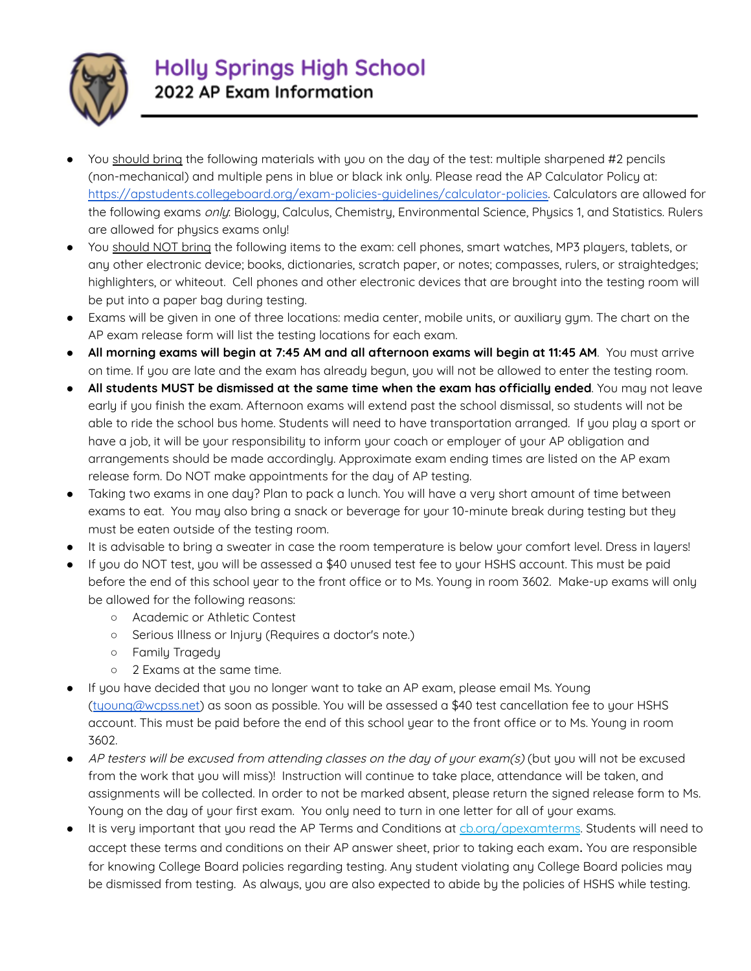

- You should bring the following materials with you on the day of the test: multiple sharpened #2 pencils (non-mechanical) and multiple pens in blue or black ink only. Please read the AP Calculator Policy at: [https://apstudents.collegeboard.org/exam-policies-guidelines/calculator-policies.](https://apstudents.collegeboard.org/exam-policies-guidelines/calculator-policies) Calculators are allowed for the following exams only: Biology, Calculus, Chemistry, Environmental Science, Physics 1, and Statistics. Rulers are allowed for physics exams only!
- You should NOT bring the following items to the exam: cell phones, smart watches, MP3 players, tablets, or any other electronic device; books, dictionaries, scratch paper, or notes; compasses, rulers, or straightedges; highlighters, or whiteout. Cell phones and other electronic devices that are brought into the testing room will be put into a paper bag during testing.
- Exams will be given in one of three locations: media center, mobile units, or auxiliary gym. The chart on the AP exam release form will list the testing locations for each exam.
- **All morning exams will begin at 7:45 AM and all afternoon exams will begin at 11:45 AM**. You must arrive on time. If you are late and the exam has already begun, you will not be allowed to enter the testing room.
- **All students MUST be dismissed at the same time when the exam has officially ended**. You may not leave early if you finish the exam. Afternoon exams will extend past the school dismissal, so students will not be able to ride the school bus home. Students will need to have transportation arranged. If you play a sport or have a job, it will be your responsibility to inform your coach or employer of your AP obligation and arrangements should be made accordingly. Approximate exam ending times are listed on the AP exam release form. Do NOT make appointments for the day of AP testing.
- Taking two exams in one day? Plan to pack a lunch. You will have a very short amount of time between exams to eat. You may also bring a snack or beverage for your 10-minute break during testing but they must be eaten outside of the testing room.
- It is advisable to bring a sweater in case the room temperature is below your comfort level. Dress in layers!
- If you do NOT test, you will be assessed a \$40 unused test fee to your HSHS account. This must be paid before the end of this school year to the front office or to Ms. Young in room 3602. Make-up exams will only be allowed for the following reasons:
	- Academic or Athletic Contest
	- Serious Illness or Injury (Requires a doctor's note.)
	- Family Tragedy
	- 2 Exams at the same time.
- If you have decided that you no longer want to take an AP exam, please email Ms. Young ([tyoung@wcpss.net\)](mailto:tyoung@wcpss.net) as soon as possible. You will be assessed a \$40 test cancellation fee to your HSHS account. This must be paid before the end of this school year to the front office or to Ms. Young in room 3602.
- AP testers will be excused from attending classes on the day of your exam(s) (but you will not be excused from the work that you will miss)! Instruction will continue to take place, attendance will be taken, and assignments will be collected. In order to not be marked absent, please return the signed release form to Ms. Young on the day of your first exam. You only need to turn in one letter for all of your exams.
- It is very important that you read the AP Terms and Conditions at ch.org/apexamterms. Students will need to accept these terms and conditions on their AP answer sheet, prior to taking each exam. You are responsible for knowing College Board policies regarding testing. Any student violating any College Board policies may be dismissed from testing. As always, you are also expected to abide by the policies of HSHS while testing.